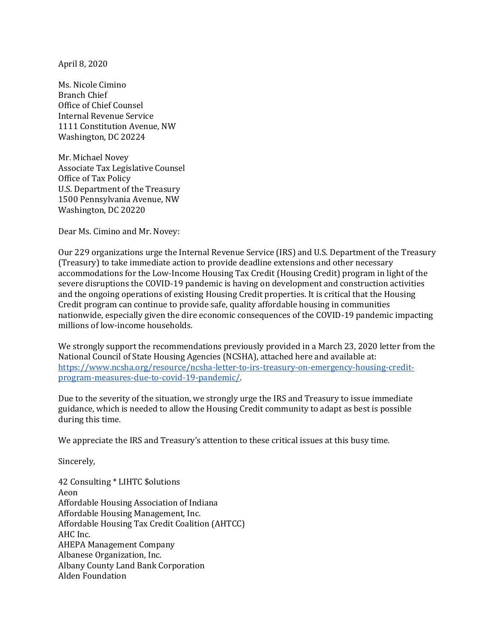April 8, 2020

Ms. Nicole Cimino Branch Chief Office of Chief Counsel Internal Revenue Service 1111 Constitution Avenue, NW Washington, DC 20224

Mr. Michael Novey Associate Tax Legislative Counsel Office of Tax Policy U.S. Department of the Treasury 1500 Pennsylvania Avenue, NW Washington, DC 20220

Dear Ms. Cimino and Mr. Novey:

Our 229 organizations urge the Internal Revenue Service (IRS) and U.S. Department of the Treasury (Treasury) to take immediate action to provide deadline extensions and other necessary accommodations for the Low-Income Housing Tax Credit (Housing Credit) program in light of the severe disruptions the COVID-19 pandemic is having on development and construction activities and the ongoing operations of existing Housing Credit properties. It is critical that the Housing Credit program can continue to provide safe, quality affordable housing in communities nationwide, especially given the dire economic consequences of the COVID-19 pandemic impacting millions of low-income households.

We strongly support the recommendations previously provided in a March 23, 2020 letter from the National Council of State Housing Agencies (NCSHA), attached here and available at: https://www.ncsha.org/resource/ncsha-letter-to-irs-treasury-on-emergency-housing-creditprogram-measures-due-to-covid-19-pandemic/.

Due to the severity of the situation, we strongly urge the IRS and Treasury to issue immediate guidance, which is needed to allow the Housing Credit community to adapt as best is possible during this time.

We appreciate the IRS and Treasury's attention to these critical issues at this busy time.

Sincerely,

42 Consulting \* LIHTC \$olutions Aeon Affordable Housing Association of Indiana Affordable Housing Management, Inc. Affordable Housing Tax Credit Coalition (AHTCC) AHC Inc. AHEPA Management Company Albanese Organization, Inc. Albany County Land Bank Corporation Alden Foundation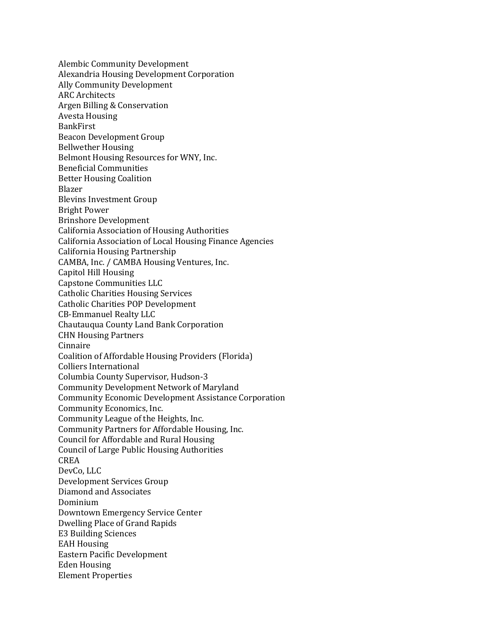Alembic Community Development Alexandria Housing Development Corporation Ally Community Development ARC Architects Argen Billing & Conservation Avesta Housing BankFirst Beacon Development Group Bellwether Housing Belmont Housing Resources for WNY, Inc. Beneficial Communities Better Housing Coalition Blazer Blevins Investment Group Bright Power Brinshore Development California Association of Housing Authorities California Association of Local Housing Finance Agencies California Housing Partnership CAMBA, Inc. / CAMBA Housing Ventures, Inc. Capitol Hill Housing Capstone Communities LLC Catholic Charities Housing Services Catholic Charities POP Development CB-Emmanuel Realty LLC Chautauqua County Land Bank Corporation CHN Housing Partners Cinnaire Coalition of Affordable Housing Providers (Florida) Colliers International Columbia County Supervisor, Hudson-3 Community Development Network of Maryland Community Economic Development Assistance Corporation Community Economics, Inc. Community League of the Heights, Inc. Community Partners for Affordable Housing, Inc. Council for Affordable and Rural Housing Council of Large Public Housing Authorities CREA DevCo, LLC Development Services Group Diamond and Associates Dominium Downtown Emergency Service Center Dwelling Place of Grand Rapids E3 Building Sciences EAH Housing Eastern Pacific Development Eden Housing Element Properties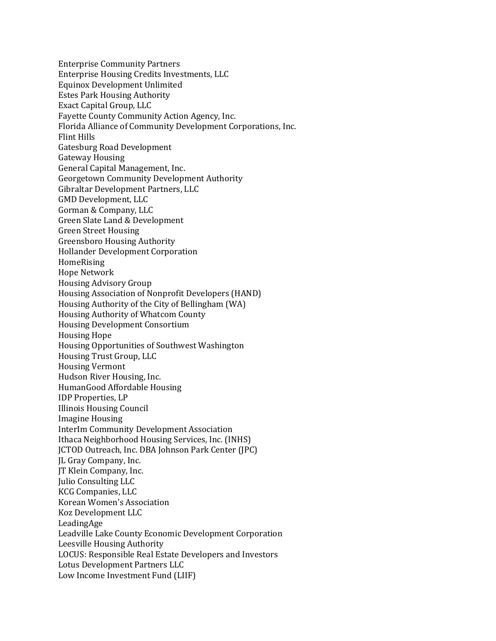Enterprise Community Partners Enterprise Housing Credits Investments, LLC Equinox Development Unlimited Estes Park Housing Authority Exact Capital Group, LLC Fayette County Community Action Agency, Inc. Florida Alliance of Community Development Corporations, Inc. Flint Hills Gatesburg Road Development Gateway Housing General Capital Management, Inc. Georgetown Community Development Authority Gibraltar Development Partners, LLC GMD Development, LLC Gorman & Company, LLC Green Slate Land & Development Green Street Housing Greensboro Housing Authority Hollander Development Corporation HomeRising Hope Network Housing Advisory Group Housing Association of Nonprofit Developers (HAND) Housing Authority of the City of Bellingham (WA) Housing Authority of Whatcom County Housing Development Consortium Housing Hope Housing Opportunities of Southwest Washington Housing Trust Group, LLC Housing Vermont Hudson River Housing, Inc. HumanGood Affordable Housing IDP Properties, LP Illinois Housing Council Imagine Housing InterIm Community Development Association Ithaca Neighborhood Housing Services, Inc. (INHS) JCTOD Outreach, Inc. DBA Johnson Park Center (JPC) JL Gray Company, Inc. JT Klein Company, Inc. Julio Consulting LLC KCG Companies, LLC Korean Women's Association Koz Development LLC LeadingAge Leadville Lake County Economic Development Corporation Leesville Housing Authority LOCUS: Responsible Real Estate Developers and Investors Lotus Development Partners LLC Low Income Investment Fund (LIIF)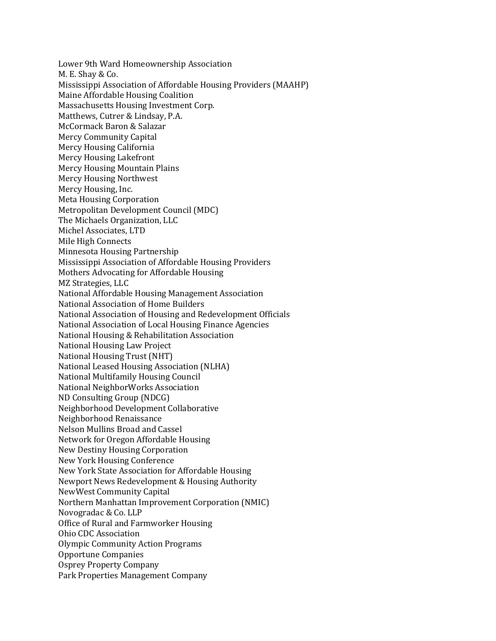Lower 9th Ward Homeownership Association M. E. Shay & Co. Mississippi Association of Affordable Housing Providers (MAAHP) Maine Affordable Housing Coalition Massachusetts Housing Investment Corp. Matthews, Cutrer & Lindsay, P.A. McCormack Baron & Salazar Mercy Community Capital Mercy Housing California Mercy Housing Lakefront Mercy Housing Mountain Plains Mercy Housing Northwest Mercy Housing, Inc. Meta Housing Corporation Metropolitan Development Council (MDC) The Michaels Organization, LLC Michel Associates, LTD Mile High Connects Minnesota Housing Partnership Mississippi Association of Affordable Housing Providers Mothers Advocating for Affordable Housing MZ Strategies, LLC National Affordable Housing Management Association National Association of Home Builders National Association of Housing and Redevelopment Officials National Association of Local Housing Finance Agencies National Housing & Rehabilitation Association National Housing Law Project National Housing Trust (NHT) National Leased Housing Association (NLHA) National Multifamily Housing Council National NeighborWorks Association ND Consulting Group (NDCG) Neighborhood Development Collaborative Neighborhood Renaissance Nelson Mullins Broad and Cassel Network for Oregon Affordable Housing New Destiny Housing Corporation New York Housing Conference New York State Association for Affordable Housing Newport News Redevelopment & Housing Authority NewWest Community Capital Northern Manhattan Improvement Corporation (NMIC) Novogradac & Co. LLP Office of Rural and Farmworker Housing Ohio CDC Association Olympic Community Action Programs Opportune Companies Osprey Property Company Park Properties Management Company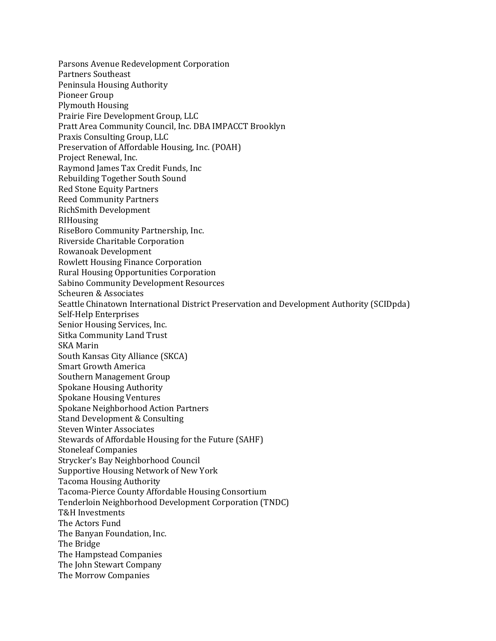Parsons Avenue Redevelopment Corporation Partners Southeast Peninsula Housing Authority Pioneer Group Plymouth Housing Prairie Fire Development Group, LLC Pratt Area Community Council, Inc. DBA IMPACCT Brooklyn Praxis Consulting Group, LLC Preservation of Affordable Housing, Inc. (POAH) Project Renewal, Inc. Raymond James Tax Credit Funds, Inc Rebuilding Together South Sound Red Stone Equity Partners Reed Community Partners RichSmith Development RIHousing RiseBoro Community Partnership, Inc. Riverside Charitable Corporation Rowanoak Development Rowlett Housing Finance Corporation Rural Housing Opportunities Corporation Sabino Community Development Resources Scheuren & Associates Seattle Chinatown International District Preservation and Development Authority (SCIDpda) Self-Help Enterprises Senior Housing Services, Inc. Sitka Community Land Trust SKA Marin South Kansas City Alliance (SKCA) Smart Growth America Southern Management Group Spokane Housing Authority Spokane Housing Ventures Spokane Neighborhood Action Partners Stand Development & Consulting Steven Winter Associates Stewards of Affordable Housing for the Future (SAHF) Stoneleaf Companies Strycker's Bay Neighborhood Council Supportive Housing Network of New York Tacoma Housing Authority Tacoma-Pierce County Affordable Housing Consortium Tenderloin Neighborhood Development Corporation (TNDC) T&H Investments The Actors Fund The Banyan Foundation, Inc. The Bridge The Hampstead Companies The John Stewart Company The Morrow Companies